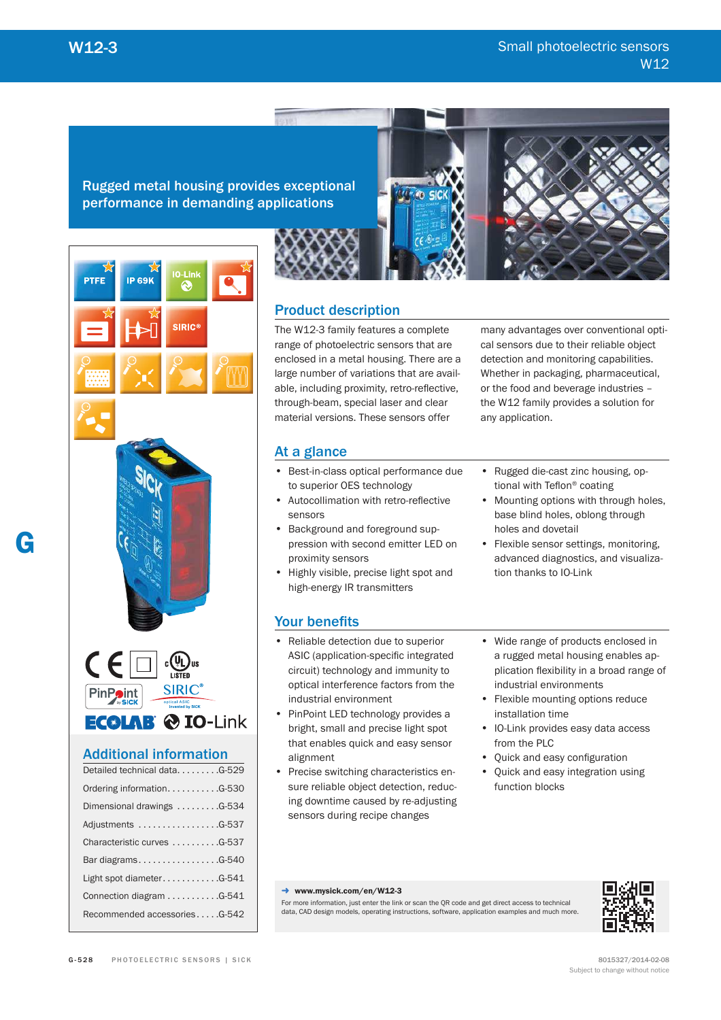Rugged metal housing provides exceptional performance in demanding applications



Product description

The W12-3 family features a complete range of photoelectric sensors that are enclosed in a metal housing. There are a large number of variations that are available, including proximity, retro-reflective. through-beam, special laser and clear material versions. These sensors offer

At a glance

- Best-in-class optical performance due to superior OES technology
- Autocollimation with retro-reflective sensors
- Background and foreground suppression with second emitter LED on proximity sensors
- Highly visible, precise light spot and high-energy IR transmitters

the W12 family provides a solution for any application.

many advantages over conventional optical sensors due to their reliable object detection and monitoring capabilities. Whether in packaging, pharmaceutical, or the food and beverage industries –

- Rugged die-cast zinc housing, optional with Teflon<sup>®</sup> coating
- Mounting options with through holes, base blind holes, oblong through holes and dovetail
- Flexible sensor settings, monitoring, advanced diagnostics, and visualization thanks to IO-Link

# Your benefits

- Reliable detection due to superior ASIC (application-specific integrated circuit) technology and immunity to optical interference factors from the industrial environment
- PinPoint LED technology provides a bright, small and precise light spot that enables quick and easy sensor alignment
- Precise switching characteristics ensure reliable object detection, reducing downtime caused by re-adjusting sensors during recipe changes
- Wide range of products enclosed in a rugged metal housing enables application flexibility in a broad range of industrial environments
- Flexible mounting options reduce installation time
- IO-Link provides easy data access from the PLC
- Quick and easy configuration
- Quick and easy integration using function blocks

#### → www.mysick.com/en/W12-3

For more information, just enter the link or scan the QR code and get direct access to technical data, CAD design models, operating instructions, software, application examples and much more.

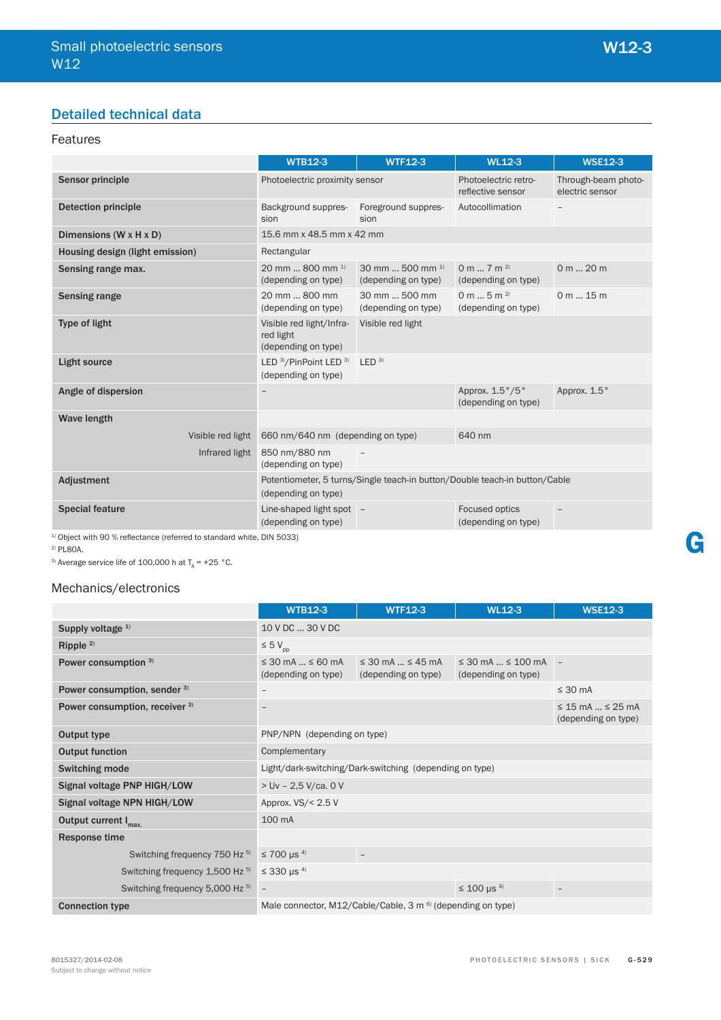# Detailed technical data

# Features

|                                                                | <b>WTB12-3</b>                                               | <b>WTF12-3</b>                              | <b>WL12-3</b>                                                              | <b>WSE12-3</b>                         |  |  |
|----------------------------------------------------------------|--------------------------------------------------------------|---------------------------------------------|----------------------------------------------------------------------------|----------------------------------------|--|--|
| <b>Sensor principle</b>                                        | Photoelectric proximity sensor                               |                                             | Photoelectric retro-<br>reflective sensor                                  | Through-beam photo-<br>electric sensor |  |  |
| <b>Detection principle</b>                                     | Background suppres-<br>sion                                  | Foreground suppres-<br>sion                 | Autocollimation                                                            |                                        |  |  |
| Dimensions (W x H x D)                                         | 15.6 mm x 48.5 mm x 42 mm                                    |                                             |                                                                            |                                        |  |  |
| Housing design (light emission)                                | Rectangular                                                  |                                             |                                                                            |                                        |  |  |
| Sensing range max.                                             | 20 mm  800 mm $^{1}$<br>(depending on type)                  | 30 mm  500 mm $^{1}$<br>(depending on type) | 0 m $7$ m $^{2}$<br>(depending on type)                                    | 0 m  20 m                              |  |  |
| <b>Sensing range</b>                                           | 20 mm  800 mm<br>(depending on type)                         | 30 mm  500 mm<br>(depending on type)        | 0 m  5 m $^{2)}$<br>(depending on type)                                    | 0 m 15 m                               |  |  |
| Type of light                                                  | Visible red light/Infra-<br>red light<br>(depending on type) | Visible red light                           |                                                                            |                                        |  |  |
| <b>Light source</b>                                            | LED 3)/PinPoint LED 3)<br>(depending on type)                | LED <sup>3</sup>                            |                                                                            |                                        |  |  |
| Angle of dispersion                                            | $\overline{\phantom{a}}$                                     |                                             | Approx. 1.5°/5°<br>(depending on type)                                     | Approx. 1.5°                           |  |  |
| <b>Wave length</b>                                             |                                                              |                                             |                                                                            |                                        |  |  |
| Visible red light                                              | 660 nm/640 nm (depending on type)                            |                                             | 640 nm                                                                     |                                        |  |  |
| Infrared light                                                 | 850 nm/880 nm<br>(depending on type)                         |                                             |                                                                            |                                        |  |  |
| Adjustment                                                     | (depending on type)                                          |                                             | Potentiometer, 5 turns/Single teach-in button/Double teach-in button/Cable |                                        |  |  |
| <b>Special feature</b><br>$(1, 0, 1, , 1, , 1, 0, 0, 0, , 0, $ | Line-shaped light spot -<br>(depending on type)              |                                             | Focused optics<br>(depending on type)                                      |                                        |  |  |

 $1)$  Object with 90 % reflectance (referred to standard white, DIN 5033)

2) PL80A.

<sup>3)</sup> Average service life of 100,000 h at  $T_A$  = +25 °C.

## Mechanics/electronics

|                                  | <b>WTB12-3</b>                                   | <b>WTF12-3</b>                                                         | <b>WL12-3</b>                                       | <b>WSE12-3</b>                                   |
|----------------------------------|--------------------------------------------------|------------------------------------------------------------------------|-----------------------------------------------------|--------------------------------------------------|
| Supply voltage 1)                | 10 V DC  30 V DC                                 |                                                                        |                                                     |                                                  |
| Ripple $2$                       | $\leq 5 V_{\text{pp}}$                           |                                                                        |                                                     |                                                  |
| Power consumption 3)             | $\leq$ 30 mA $\leq$ 60 mA<br>(depending on type) | $\leq$ 30 mA $\ldots \leq$ 45 mA<br>(depending on type)                | $\leq$ 30 mA $\leq$ 100 mA -<br>(depending on type) |                                                  |
| Power consumption, sender 3)     | $\overline{\phantom{m}}$                         |                                                                        |                                                     | $\leq 30$ mA                                     |
| Power consumption, receiver 3)   | $\qquad \qquad -$                                |                                                                        |                                                     | $\leq$ 15 mA $\leq$ 25 mA<br>(depending on type) |
| Output type                      | PNP/NPN (depending on type)                      |                                                                        |                                                     |                                                  |
| <b>Output function</b>           | Complementary                                    |                                                                        |                                                     |                                                  |
| Switching mode                   |                                                  | Light/dark-switching/Dark-switching (depending on type)                |                                                     |                                                  |
| Signal voltage PNP HIGH/LOW      | $>$ Uv - 2,5 V/ca. 0 V                           |                                                                        |                                                     |                                                  |
| Signal voltage NPN HIGH/LOW      | Approx. $VS/< 2.5 V$                             |                                                                        |                                                     |                                                  |
| Output current I <sub>max.</sub> | 100 mA                                           |                                                                        |                                                     |                                                  |
| Response time                    |                                                  |                                                                        |                                                     |                                                  |
| Switching frequency 750 Hz 5)    | $≤ 700 \mu s^{4}$                                | -                                                                      |                                                     |                                                  |
| Switching frequency 1,500 Hz 5)  | $\leq$ 330 µs <sup>4)</sup>                      |                                                                        |                                                     |                                                  |
| Switching frequency 5,000 Hz 5)  | $\overline{\phantom{a}}$                         |                                                                        | $\leq$ 100 µs <sup>4)</sup>                         | $\overline{\phantom{a}}$                         |
| <b>Connection type</b>           |                                                  | Male connector, M12/Cable/Cable, 3 m <sup>6)</sup> (depending on type) |                                                     |                                                  |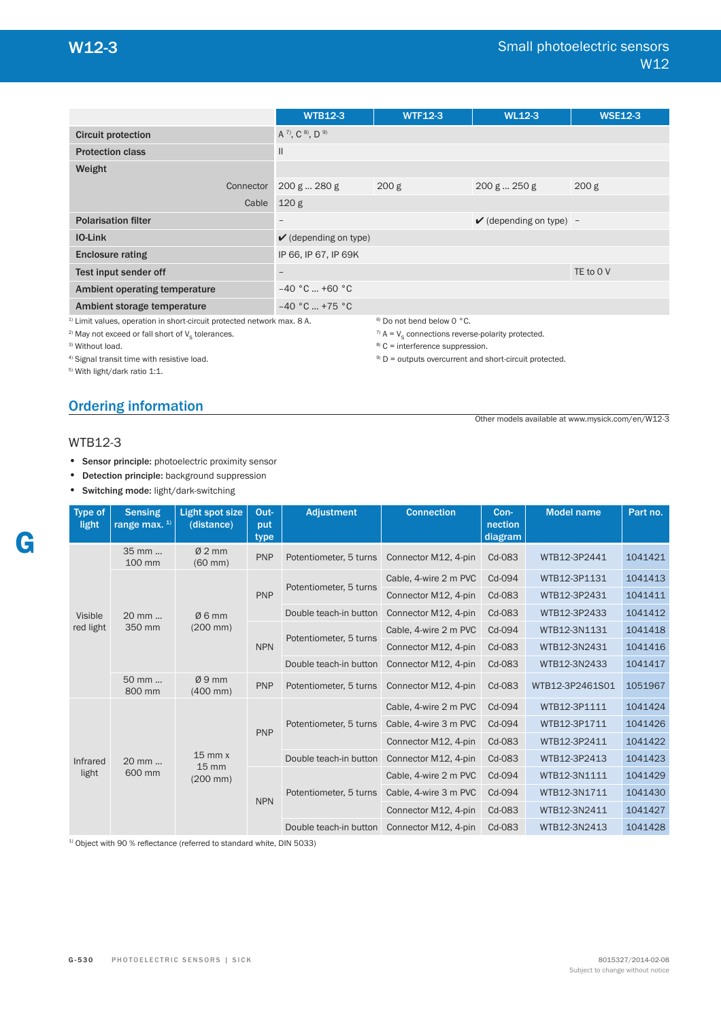Other models available at www.mysick.com/en/W12-3

|                                                                                                                                                                                               |           | <b>WTB12-3</b>                   | <b>WTF12-3</b>                                                                                                                                | <b>WL12-3</b>                      | <b>WSE12-3</b>   |  |  |
|-----------------------------------------------------------------------------------------------------------------------------------------------------------------------------------------------|-----------|----------------------------------|-----------------------------------------------------------------------------------------------------------------------------------------------|------------------------------------|------------------|--|--|
| <b>Circuit protection</b>                                                                                                                                                                     |           | A 7), C 8), D 9)                 |                                                                                                                                               |                                    |                  |  |  |
| <b>Protection class</b>                                                                                                                                                                       |           | $\mathbf{I}$                     |                                                                                                                                               |                                    |                  |  |  |
| Weight                                                                                                                                                                                        |           |                                  |                                                                                                                                               |                                    |                  |  |  |
|                                                                                                                                                                                               | Connector | 200 g  280 g                     | 200 <sub>g</sub>                                                                                                                              | 200 g  250 g                       | 200 <sub>g</sub> |  |  |
|                                                                                                                                                                                               | Cable     | 120 <sub>g</sub>                 |                                                                                                                                               |                                    |                  |  |  |
| <b>Polarisation filter</b>                                                                                                                                                                    |           | $\qquad \qquad -$                |                                                                                                                                               | $\checkmark$ (depending on type) - |                  |  |  |
| <b>IO-Link</b>                                                                                                                                                                                |           | $\checkmark$ (depending on type) |                                                                                                                                               |                                    |                  |  |  |
| <b>Enclosure rating</b>                                                                                                                                                                       |           | IP 66, IP 67, IP 69K             |                                                                                                                                               |                                    |                  |  |  |
| Test input sender off                                                                                                                                                                         |           | $\qquad \qquad -$                |                                                                                                                                               |                                    | TE to 0 V        |  |  |
| <b>Ambient operating temperature</b>                                                                                                                                                          |           | $-40 °C$ +60 °C                  |                                                                                                                                               |                                    |                  |  |  |
| Ambient storage temperature                                                                                                                                                                   |           | $-40 °C  +75 °C$                 |                                                                                                                                               |                                    |                  |  |  |
| <sup>1)</sup> Limit values, operation in short-circuit protected network max. 8 A.<br><sup>2)</sup> May not exceed or fall short of V <sub>s</sub> tolerances.<br><sup>3)</sup> Without load. |           |                                  | <sup>6)</sup> Do not bend below 0 °C.<br><sup>7)</sup> A = $V_s$ connections reverse-polarity protected.<br>$8$ C = interference suppression. |                                    |                  |  |  |

 $9)$  D = outputs overcurrent and short-circuit protected.

4) Signal transit time with resistive load.

5) With light/dark ratio 1:1.

# Ordering information

#### WTB12-3

- Sensor principle: photoelectric proximity sensor
- Detection principle: background suppression
- Switching mode: light/dark-switching

| Type of<br>light                                                        | <b>Sensing</b><br>range max. <sup>1)</sup> | <b>Light spot size</b><br>(distance) | Out-<br>put<br>type    | <b>Adjustment</b>      | <b>Connection</b>     | Con-<br>nection<br>diagram | <b>Model name</b> | Part no. |
|-------------------------------------------------------------------------|--------------------------------------------|--------------------------------------|------------------------|------------------------|-----------------------|----------------------------|-------------------|----------|
|                                                                         | 35 mm<br>100 mm                            | $Ø2$ mm<br>$(60$ mm $)$              | <b>PNP</b>             | Potentiometer, 5 turns | Connector M12, 4-pin  | Cd-083                     | WTB12-3P2441      | 1041421  |
|                                                                         |                                            |                                      |                        | Potentiometer, 5 turns | Cable, 4-wire 2 m PVC | Cd-094                     | WTB12-3P1131      | 1041413  |
| Ø6mm<br>Visible<br>20 mm<br>red light<br>350 mm<br>$(200 \, \text{mm})$ |                                            | <b>PNP</b>                           |                        | Connector M12, 4-pin   | Cd-083                | WTB12-3P2431               | 1041411           |          |
|                                                                         |                                            |                                      | Double teach-in button | Connector M12, 4-pin   | Cd-083                | WTB12-3P2433               | 1041412           |          |
|                                                                         |                                            |                                      | Potentiometer, 5 turns | Cable, 4-wire 2 m PVC  | Cd-094                | WTB12-3N1131               | 1041418           |          |
|                                                                         |                                            | <b>NPN</b>                           |                        | Connector M12, 4-pin   | Cd-083                | WTB12-3N2431               | 1041416           |          |
|                                                                         |                                            |                                      |                        | Double teach-in button | Connector M12, 4-pin  | Cd-083                     | WTB12-3N2433      | 1041417  |
|                                                                         | Ø9mm<br>50 mm<br>800 mm<br>$(400$ mm $)$   | <b>PNP</b>                           | Potentiometer, 5 turns | Connector M12, 4-pin   | Cd-083                | WTB12-3P2461S01            | 1051967           |          |
|                                                                         |                                            |                                      |                        | Potentiometer, 5 turns | Cable, 4-wire 2 m PVC | Cd-094                     | WTB12-3P1111      | 1041424  |
|                                                                         |                                            |                                      | <b>PNP</b>             |                        | Cable, 4-wire 3 m PVC | Cd-094                     | WTB12-3P1711      | 1041426  |
|                                                                         |                                            |                                      |                        |                        | Connector M12, 4-pin  | Cd-083                     | WTB12-3P2411      | 1041422  |
| <b>Infrared</b>                                                         | 20 mm                                      | $15$ mm $x$<br>$15 \, \text{mm}$     |                        | Double teach-in button | Connector M12, 4-pin  | Cd-083                     | WTB12-3P2413      | 1041423  |
| light                                                                   | 600 mm                                     | $(200 \, \text{mm})$                 |                        |                        | Cable, 4-wire 2 m PVC | Cd-094                     | WTB12-3N1111      | 1041429  |
|                                                                         |                                            |                                      | <b>NPN</b>             | Potentiometer, 5 turns | Cable, 4-wire 3 m PVC | Cd-094                     | WTB12-3N1711      | 1041430  |
|                                                                         |                                            |                                      |                        |                        | Connector M12, 4-pin  | Cd-083                     | WTB12-3N2411      | 1041427  |
|                                                                         |                                            |                                      |                        | Double teach-in button | Connector M12, 4-pin  | Cd-083                     | WTB12-3N2413      | 1041428  |

 $1)$  Object with 90 % reflectance (referred to standard white, DIN 5033)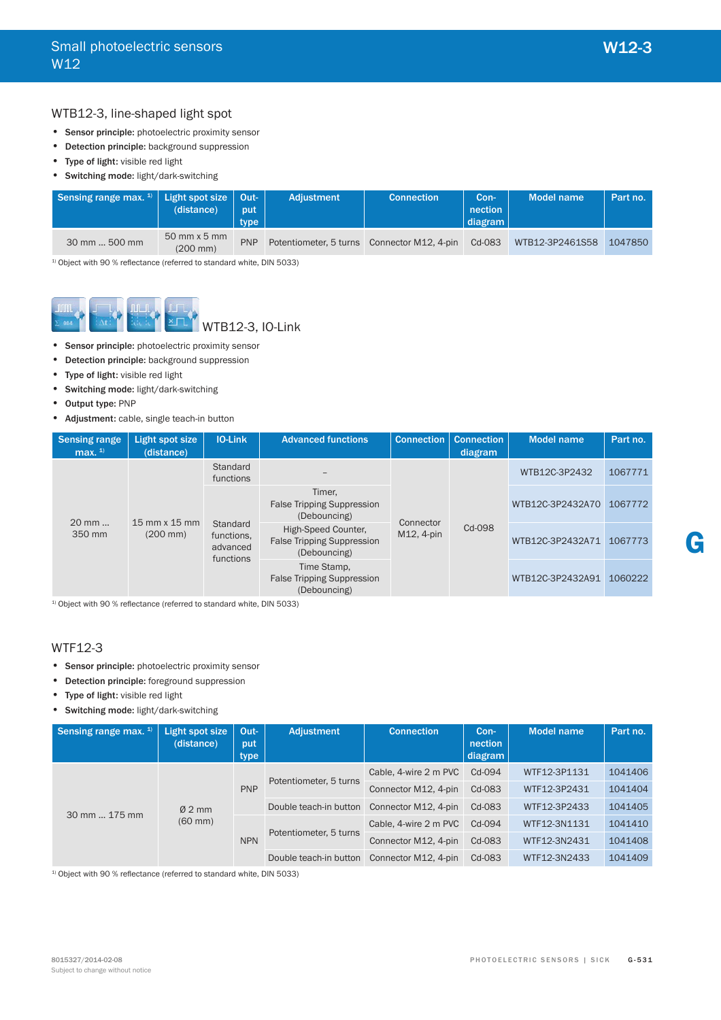## WTB12-3, line-shaped light spot

- Sensor principle: photoelectric proximity sensor
- Detection principle: background suppression
- Type of light: visible red light
- Switching mode: light/dark-switching

| Sensing range max. $1$ Light spot size   Out- | (distance)                                    | put<br>type | <b>Adiustment</b> | <b>Connection</b>                           | Con-<br>nection<br>  diagram | Model name      | Part no. |
|-----------------------------------------------|-----------------------------------------------|-------------|-------------------|---------------------------------------------|------------------------------|-----------------|----------|
| 30 mm  500 mm                                 | $50$ mm $\times$ 5 mm<br>$(200 \, \text{mm})$ | <b>PNP</b>  |                   | Potentiometer, 5 turns Connector M12, 4-pin | Cd-083                       | WTB12-3P2461S58 | 1047850  |

 $1)$  Object with 90 % reflectance (referred to standard white, DIN 5033)



- Sensor principle: photoelectric proximity sensor
- Detection principle: background suppression
- Type of light: visible red light
- Switching mode: light/dark-switching
- Output type: PNP
- Adjustment: cable, single teach-in button

| <b>Sensing range</b><br>max. $1$                                                          | Light spot size<br>(distance) | <b>IO-Link</b>                                              | <b>Advanced functions</b>                                                | <b>Connection</b> | <b>Connection</b><br>diagram | <b>Model name</b> | Part no. |
|-------------------------------------------------------------------------------------------|-------------------------------|-------------------------------------------------------------|--------------------------------------------------------------------------|-------------------|------------------------------|-------------------|----------|
| $20 \text{ mm}$<br>$15 \text{ mm} \times 15 \text{ mm}$<br>350 mm<br>$(200 \, \text{mm})$ | Standard<br>functions         |                                                             | Connector                                                                |                   | WTB12C-3P2432                | 1067771           |          |
|                                                                                           |                               | Timer.<br><b>False Tripping Suppression</b><br>(Debouncing) |                                                                          |                   | WTB12C-3P2432A70             | 1067772           |          |
|                                                                                           |                               | Standard<br>functions.<br>advanced<br>functions             | High-Speed Counter,<br><b>False Tripping Suppression</b><br>(Debouncing) | M12, 4-pin        | Cd-098                       | WTB12C-3P2432A71  | 1067773  |
|                                                                                           |                               |                                                             | Time Stamp,<br><b>False Tripping Suppression</b><br>(Debouncing)         |                   |                              | WTB12C-3P2432A91  | 1060222  |

 $1)$  Object with 90 % reflectance (referred to standard white, DIN 5033)

# WTF12-3

- Sensor principle: photoelectric proximity sensor
- Detection principle: foreground suppression
- Type of light: visible red light
- Switching mode: light/dark-switching

| Sensing range max. $1$ | Light spot size<br>(distance) | Out-<br>put<br>type | Adjustment             | <b>Connection</b>     | Con-<br>nection<br>diagram | <b>Model name</b> | Part no. |
|------------------------|-------------------------------|---------------------|------------------------|-----------------------|----------------------------|-------------------|----------|
|                        |                               |                     |                        | Cable, 4-wire 2 m PVC | Cd-094                     | WTF12-3P1131      | 1041406  |
|                        |                               | <b>PNP</b>          | Potentiometer, 5 turns | Connector M12, 4-pin  | Cd-083                     | WTF12-3P2431      | 1041404  |
| 30 mm  175 mm          | $Ø2$ mm                       |                     | Double teach-in button | Connector M12, 4-pin  | Cd-083                     | WTF12-3P2433      | 1041405  |
|                        | $(60 \text{ mm})$             |                     | Potentiometer, 5 turns | Cable, 4-wire 2 m PVC | Cd-094                     | WTF12-3N1131      | 1041410  |
|                        |                               | <b>NPN</b>          |                        | Connector M12, 4-pin  | Cd-083                     | WTF12-3N2431      | 1041408  |
|                        |                               |                     | Double teach-in button | Connector M12, 4-pin  | Cd-083                     | WTF12-3N2433      | 1041409  |

 $1)$  Object with 90 % reflectance (referred to standard white, DIN 5033)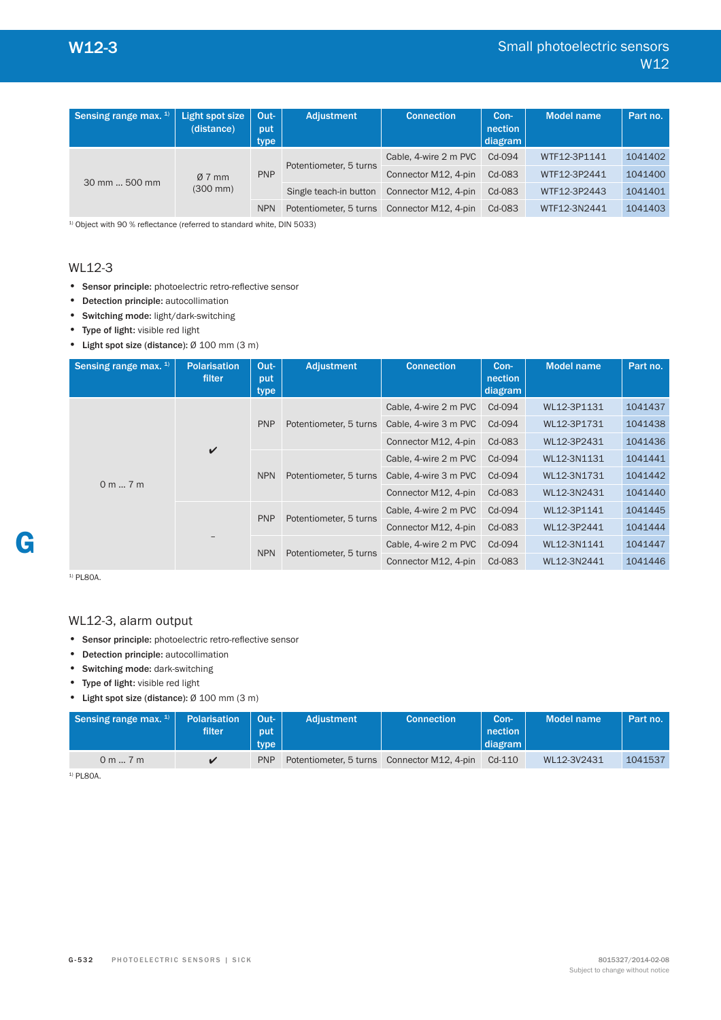| Sensing range max. $1$ | Light spot size<br>(distance)   | Out-<br>put<br>type | Adjustment             | <b>Connection</b>     | Con-<br>nection<br>diagram | <b>Model name</b> | Part no. |
|------------------------|---------------------------------|---------------------|------------------------|-----------------------|----------------------------|-------------------|----------|
| 30 mm  500 mm          | $Ø7$ mm<br>$(300 \, \text{mm})$ | <b>PNP</b>          | Potentiometer, 5 turns | Cable, 4-wire 2 m PVC | Cd-094                     | WTF12-3P1141      | 1041402  |
|                        |                                 |                     |                        | Connector M12, 4-pin  | Cd-083                     | WTF12-3P2441      | 1041400  |
|                        |                                 |                     | Single teach-in button | Connector M12, 4-pin  | Cd-083                     | WTF12-3P2443      | 1041401  |
|                        |                                 | <b>NPN</b>          | Potentiometer, 5 turns | Connector M12, 4-pin  | Cd-083                     | WTF12-3N2441      | 1041403  |

 $1)$  Object with 90 % reflectance (referred to standard white, DIN 5033)

## WL12-3

- Sensor principle: photoelectric retro-reflective sensor
- Detection principle: autocollimation
- Switching mode: light/dark-switching
- Type of light: visible red light
- Light spot size (distance): Ø 100 mm (3 m)

| Sensing range max. $1$ | <b>Polarisation</b><br>filter | Out-<br>put<br>type | <b>Adjustment</b>      | <b>Connection</b>     | Con-<br>nection<br>diagram | <b>Model name</b> | Part no. |
|------------------------|-------------------------------|---------------------|------------------------|-----------------------|----------------------------|-------------------|----------|
|                        |                               |                     |                        | Cable, 4-wire 2 m PVC | Cd-094                     | WL12-3P1131       | 1041437  |
|                        |                               | <b>PNP</b>          | Potentiometer, 5 turns | Cable, 4-wire 3 m PVC | Cd-094                     | WL12-3P1731       | 1041438  |
| $\checkmark$           |                               |                     | Connector M12, 4-pin   | Cd-083                | WL12-3P2431                | 1041436           |          |
|                        |                               | <b>NPN</b>          | Potentiometer, 5 turns | Cable, 4-wire 2 m PVC | Cd-094                     | WL12-3N1131       | 1041441  |
| 0 m 7 m                |                               |                     |                        | Cable, 4-wire 3 m PVC | Cd-094                     | WL12-3N1731       | 1041442  |
|                        |                               |                     |                        | Connector M12, 4-pin  | Cd-083                     | WL12-3N2431       | 1041440  |
|                        |                               | <b>PNP</b>          |                        | Cable, 4-wire 2 m PVC | Cd-094                     | WL12-3P1141       | 1041445  |
|                        |                               |                     | Potentiometer, 5 turns | Connector M12, 4-pin  | Cd-083                     | WL12-3P2441       | 1041444  |
|                        |                               | <b>NPN</b>          |                        | Cable, 4-wire 2 m PVC | Cd-094                     | WL12-3N1141       | 1041447  |
|                        |                               |                     | Potentiometer, 5 turns | Connector M12, 4-pin  | Cd-083                     | WL12-3N2441       | 1041446  |

<sup>1)</sup> PL80A.

**G**

## WL12-3, alarm output

- Sensor principle: photoelectric retro-reflective sensor
- Detection principle: autocollimation
- Switching mode: dark-switching
- Type of light: visible red light

• Light spot size (distance): Ø 100 mm (3 m)

| Sensing range max. $1$ | <b>Polarisation</b><br>filter | Out-<br>put<br>type | <b>Adjustment</b>                           | <b>Connection</b> | Con-<br>nection<br>diagram | Model name  | Part no. |
|------------------------|-------------------------------|---------------------|---------------------------------------------|-------------------|----------------------------|-------------|----------|
| 0 m 7 m                |                               | <b>PNP</b>          | Potentiometer, 5 turns Connector M12, 4-pin |                   | $Cd-110$                   | WL12-3V2431 | 1041537  |

<sup>1)</sup> PL80A.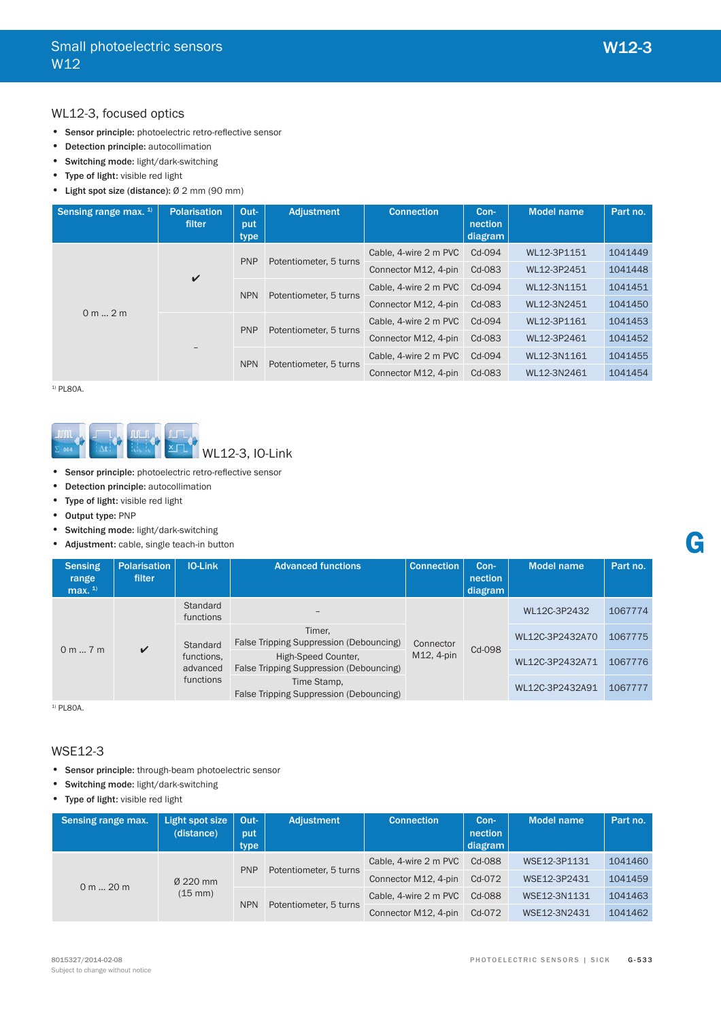## WL12-3, focused optics

- Sensor principle: photoelectric retro-reflective sensor
- Detection principle: autocollimation
- Switching mode: light/dark-switching
- Type of light: visible red light
- Light spot size (distance): Ø 2 mm (90 mm)

| Sensing range max. <sup>1)</sup> | <b>Polarisation</b><br>filter | Out-<br>put<br>type    | <b>Adjustment</b>      | <b>Connection</b>     | Con-<br>nection<br>diagram | <b>Model name</b> | Part no. |
|----------------------------------|-------------------------------|------------------------|------------------------|-----------------------|----------------------------|-------------------|----------|
|                                  |                               | <b>PNP</b>             |                        | Cable, 4-wire 2 m PVC | Cd-094                     | WL12-3P1151       | 1041449  |
| $\checkmark$                     |                               | Potentiometer, 5 turns | Connector M12, 4-pin   | Cd-083                | WL12-3P2451                | 1041448           |          |
|                                  |                               | <b>NPN</b>             | Potentiometer, 5 turns | Cable, 4-wire 2 m PVC | Cd-094                     | WL12-3N1151       | 1041451  |
| 0 m 2 m                          |                               |                        |                        | Connector M12, 4-pin  | Cd-083                     | WL12-3N2451       | 1041450  |
|                                  |                               | <b>PNP</b>             | Potentiometer, 5 turns | Cable, 4-wire 2 m PVC | Cd-094                     | WL12-3P1161       | 1041453  |
|                                  |                               |                        |                        | Connector M12, 4-pin  | Cd-083                     | WL12-3P2461       | 1041452  |
|                                  | $-$                           | <b>NPN</b>             | Potentiometer, 5 turns | Cable, 4-wire 2 m PVC | Cd-094                     | WL12-3N1161       | 1041455  |
|                                  |                               |                        |                        | Connector M12, 4-pin  | Cd-083                     | WL12-3N2461       | 1041454  |

 $1)$  PL80A.



- Sensor principle: photoelectric retro-reflective sensor
- Detection principle: autocollimation
- Type of light: visible red light
- Output type: PNP
- Switching mode: light/dark-switching
- Adjustment: cable, single teach-in button

| <b>Sensing</b><br>range<br>max. $1$ | <b>Polarisation</b><br><b>filter</b> | IO-Link                                           | <b>Advanced functions</b>                                      | Connection                              | Con-<br>nection<br>diagram | Model name      | Part no. |
|-------------------------------------|--------------------------------------|---------------------------------------------------|----------------------------------------------------------------|-----------------------------------------|----------------------------|-----------------|----------|
|                                     |                                      | Standard<br>functions                             |                                                                |                                         |                            | WL12C-3P2432    | 1067774  |
| $\checkmark$                        | Standard                             | Timer,<br>False Tripping Suppression (Debouncing) | Connector                                                      |                                         | WL12C-3P2432A70            | 1067775         |          |
| 0 m 7 m                             |                                      | functions.<br>advanced                            | High-Speed Counter.<br>False Tripping Suppression (Debouncing) | Cd-098<br>M12, 4-pin<br>WL12C-3P2432A71 | 1067776                    |                 |          |
|                                     |                                      | functions                                         | Time Stamp,<br>False Tripping Suppression (Debouncing)         |                                         |                            | WL12C-3P2432A91 | 1067777  |

<sup>1)</sup> PL80A.

## WSE12-3

- Sensor principle: through-beam photoelectric sensor
- Switching mode: light/dark-switching
- Type of light: visible red light

| Sensing range max. | Light spot size<br>(distance) | Out-<br>put<br>type | Adjustment             | <b>Connection</b>     | Con-<br>nection<br>diagram | <b>Model name</b> | Part no. |
|--------------------|-------------------------------|---------------------|------------------------|-----------------------|----------------------------|-------------------|----------|
| $0 m$ 20 m         | Ø 220 mm<br>$(15 \text{ mm})$ | <b>PNP</b>          | Potentiometer, 5 turns | Cable, 4-wire 2 m PVC | Cd-088                     | WSE12-3P1131      | 1041460  |
|                    |                               |                     |                        | Connector M12, 4-pin  | Cd-072                     | WSE12-3P2431      | 1041459  |
|                    |                               | <b>NPN</b>          | Potentiometer, 5 turns | Cable, 4-wire 2 m PVC | Cd-088                     | WSE12-3N1131      | 1041463  |
|                    |                               |                     |                        | Connector M12, 4-pin  | Cd-072                     | WSE12-3N2431      | 1041462  |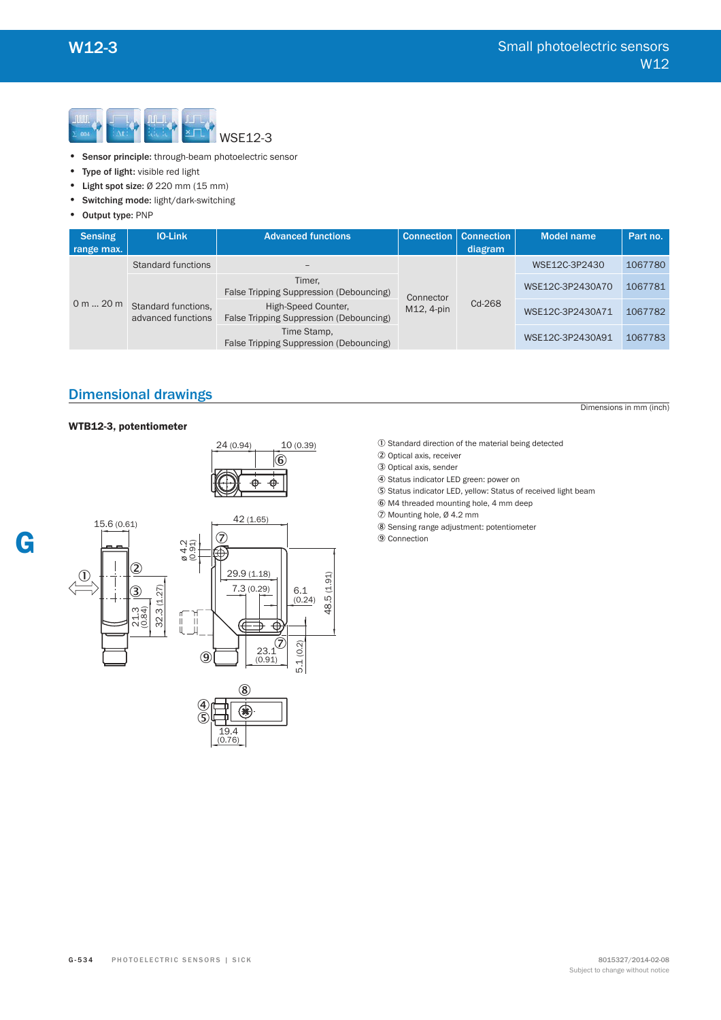

- Sensor principle: through-beam photoelectric sensor
- Type of light: visible red light
- Light spot size: Ø 220 mm (15 mm)
- Switching mode: light/dark-switching
- Output type: PNP

| <b>Sensing</b><br>range max. | <b>IO-Link</b>                            | <b>Advanced functions</b>                                      | <b>Connection</b> | <b>Connection</b><br>diagram | <b>Model name</b> | Part no. |
|------------------------------|-------------------------------------------|----------------------------------------------------------------|-------------------|------------------------------|-------------------|----------|
| 0 m 20 m                     | <b>Standard functions</b>                 |                                                                |                   | Cd-268                       | WSE12C-3P2430     | 1067780  |
|                              | Standard functions,<br>advanced functions | Timer.<br>False Tripping Suppression (Debouncing)              | Connector         |                              | WSE12C-3P2430A70  | 1067781  |
|                              |                                           | High-Speed Counter,<br>False Tripping Suppression (Debouncing) | M12.4-pin         |                              | WSE12C-3P2430A71  | 1067782  |
|                              |                                           | Time Stamp,<br>False Tripping Suppression (Debouncing)         |                   |                              | WSE12C-3P2430A91  | 1067783  |

# Dimensional drawings

#### WTB12-3, potentiometer





(0.76)

Dimensions in mm (inch)

- 1 Standard direction of the material being detected
- 2 Optical axis, receiver
- 3 Optical axis, sender
- 4 Status indicator LED green: power on
- 5 Status indicator LED, yellow: Status of received light beam
- 6 M4 threaded mounting hole, 4 mm deep
- 7 Mounting hole, Ø 4.2 mm
- 8 Sensing range adjustment: potentiometer
- 9 Connection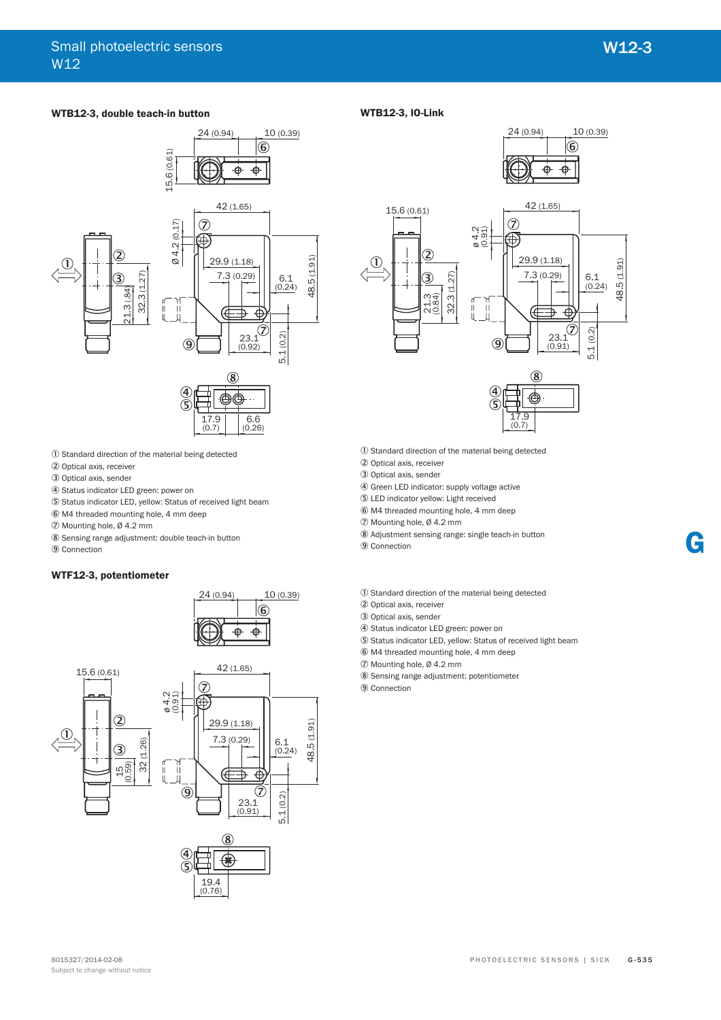#### **WTB12-3, double teach-in button**



- 1 Standard direction of the material being detected
- 2 Optical axis, receiver
- 3 Optical axis, sender
- 4 Status indicator LED green: power on
- 5 Status indicator LED, yellow: Status of received light beam
- 6 M4 threaded mounting hole, 4 mm deep
- 7 Mounting hole, Ø 4.2 mm
- 8 Sensing range adjustment: double teach-in button
- 9 Connection

#### WTF12-3, potentiometer







#### **WTB12-3, IO-Link**







- 1 Standard direction of the material being detected
- 2 Optical axis, receiver
- 3 Optical axis, sender
- 4 Green LED indicator: supply voltage active
- 5 LED indicator yellow: Light received
- 6 M4 threaded mounting hole, 4 mm deep
- 7 Mounting hole, Ø 4.2 mm
- 8 Adjustment sensing range: single teach-in button

9 Connection

- 1 Standard direction of the material being detected
- 2 Optical axis, receiver
- 3 Optical axis, sender
- 
- 4 Status indicator LED green: power on
- 5 Status indicator LED, yellow: Status of received light beam
- 6 M4 threaded mounting hole, 4 mm deep
- 7 Mounting hole, Ø 4.2 mm
- 8 Sensing range adjustment: potentiometer
- 9 Connection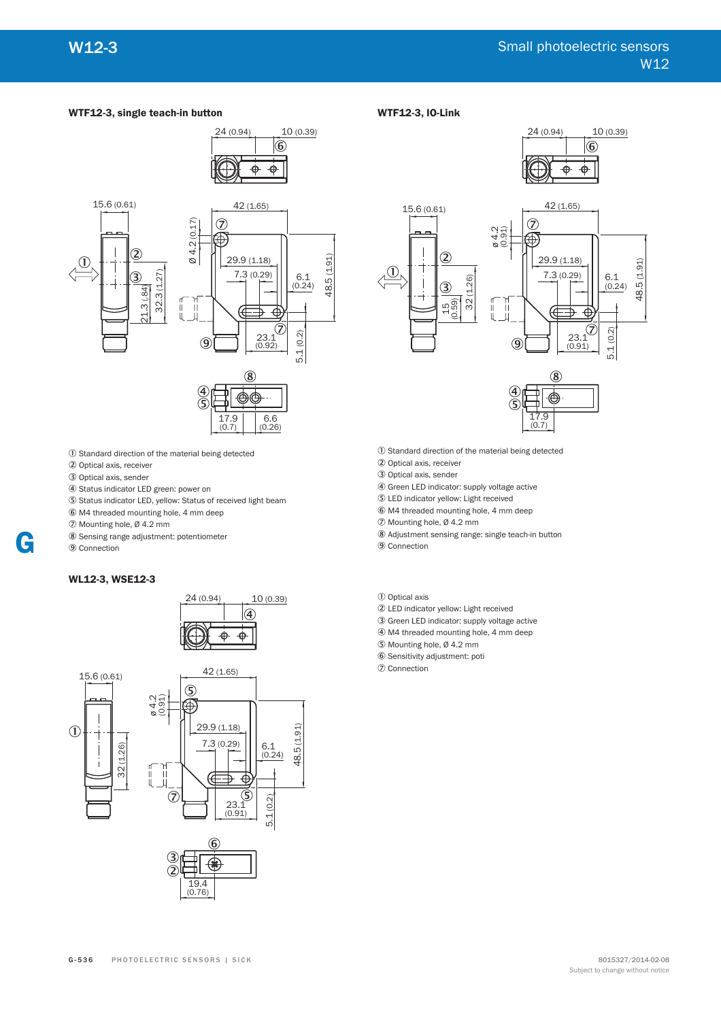#### **WTF12-3, single teach-in button**



- 1 Standard direction of the material being detected
- 2 Optical axis, receiver
- 3 Optical axis, sender
- 4 Status indicator LED green: power on
- 5 Status indicator LED, yellow: Status of received light beam
- 6 M4 threaded mounting hole, 4 mm deep

7 Mounting hole, Ø 4.2 mm

- 8 Sensing range adjustment: potentiometer
- 9 Connection



**G**







## **WTF12-3, IO-Link**





- 1 Standard direction of the material being detected
- 2 Optical axis, receiver
- 3 Optical axis, sender
- 4 Green LED indicator: supply voltage active
- 5 LED indicator yellow: Light received
- 6 M4 threaded mounting hole, 4 mm deep
- 7 Mounting hole, Ø 4.2 mm
- 8 Adjustment sensing range: single teach-in button
- 9 Connection

1 Optical axis

- 2 LED indicator yellow: Light received
- 3 Green LED indicator: supply voltage active
- 4 M4 threaded mounting hole, 4 mm deep
- 5 Mounting hole, Ø 4.2 mm
- 6 Sensitivity adjustment: poti
- 7 Connection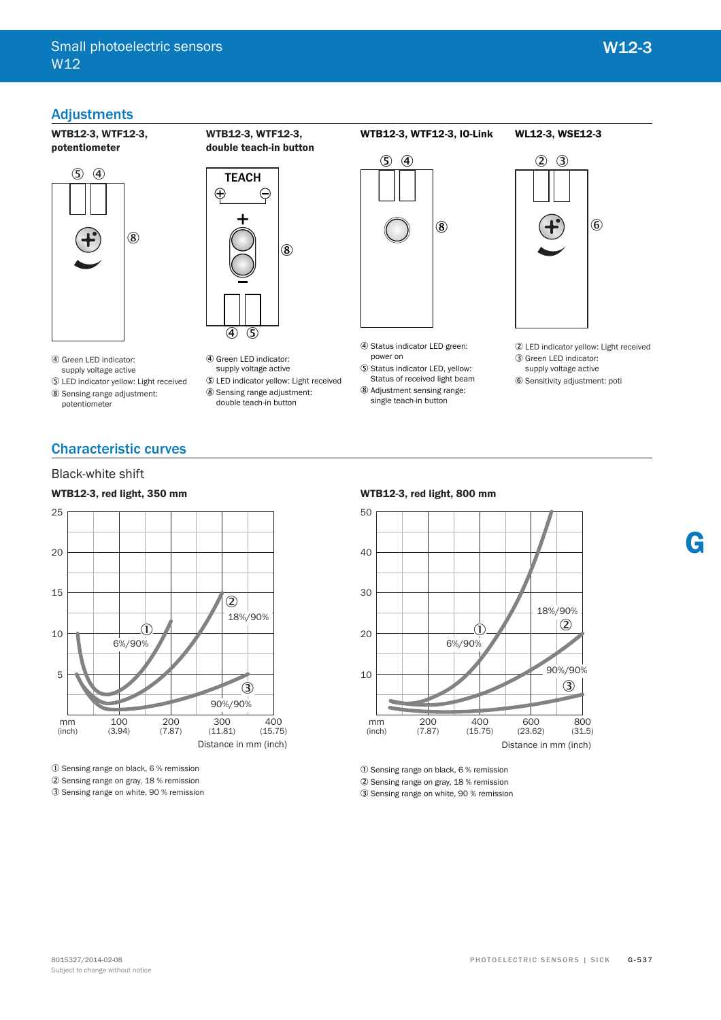# Adjustments

**WTB12-3, WTF12-3, potentiometer** 



**TEACH**  $\bigoplus$  $\ominus$ 8

**WTB12-3, WTF12-3,**  double teach-in button

4 Green LED indicator: supply voltage active

5 LED indicator yellow: Light received 8 Sensing range adjustment: potentiometer

- $(4)$  (5) 4 Green LED indicator:
- supply voltage active
- 5 LED indicator yellow: Light received 8 Sensing range adjustment: double teach-in button

# WTB12-3, WTF12-3, IO-Link



- 4 Status indicator LED green: power on
- 5 Status indicator LED, yellow: Status of received light beam
- 8 Adjustment sensing range: single teach-in button



**WL12-3, WSE12-3**

2 LED indicator yellow: Light received 3 Green LED indicator:

**G**

supply voltage active 6 Sensitivity adjustment: poti

# Characteristic curves

## Black-white shift

### WTB12-3, red light, 350 mm



1 Sensing range on black, 6 % remission

2 Sensing range on gray, 18 % remission

3 Sensing range on white, 90 % remission

#### **WTB12-3. red light. 800 mm**



1 Sensing range on black, 6 % remission

2 Sensing range on gray, 18 % remission

3 Sensing range on white, 90 % remission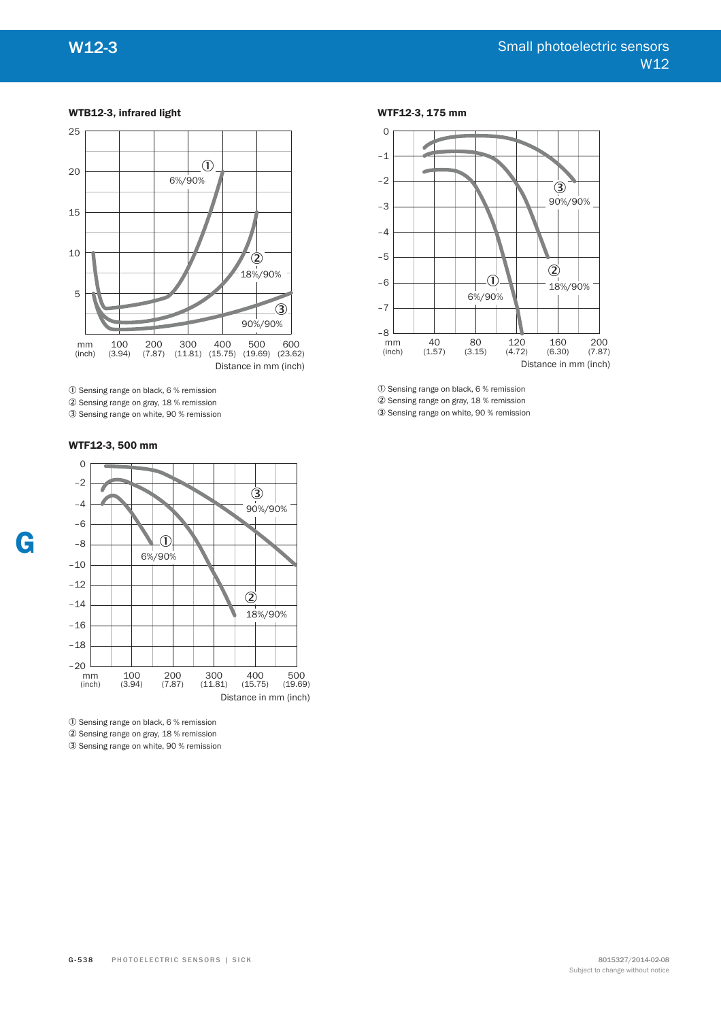#### **WTB12-3, infrared light**



1 Sensing range on black, 6 % remission

2 Sensing range on gray, 18 % remission

3 Sensing range on white, 90 % remission

#### WTF12-3, 175 mm



1 Sensing range on black, 6 % remission

2 Sensing range on gray, 18 % remission 3 Sensing range on white, 90 % remission

# WTF12-3, 500 mm



1 Sensing range on black, 6 % remission 2 Sensing range on gray, 18 % remission 3 Sensing range on white, 90 % remission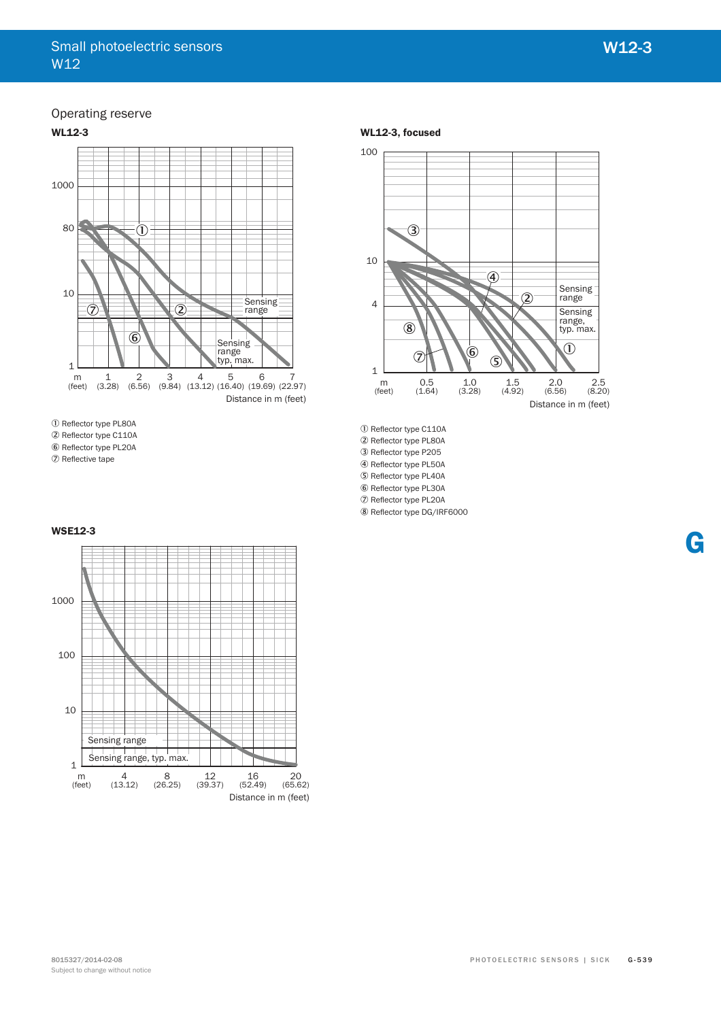**G**

# Operating reserve



1) Reflector type PL80A

2 Reflector type C110A

6 Reflector type PL20A

2 Reflective tape

#### WL12-3, focused



10 Reflector type C110A 2 Reflector type PL80A 3 Reflector type P205 4 Reflector type PL50A 5 Reflector type PL40A

6 Reflector type PL30A

7 Reflector type PL20A

8 Reflector type DG/IRF6000

#### **WSE12-3**

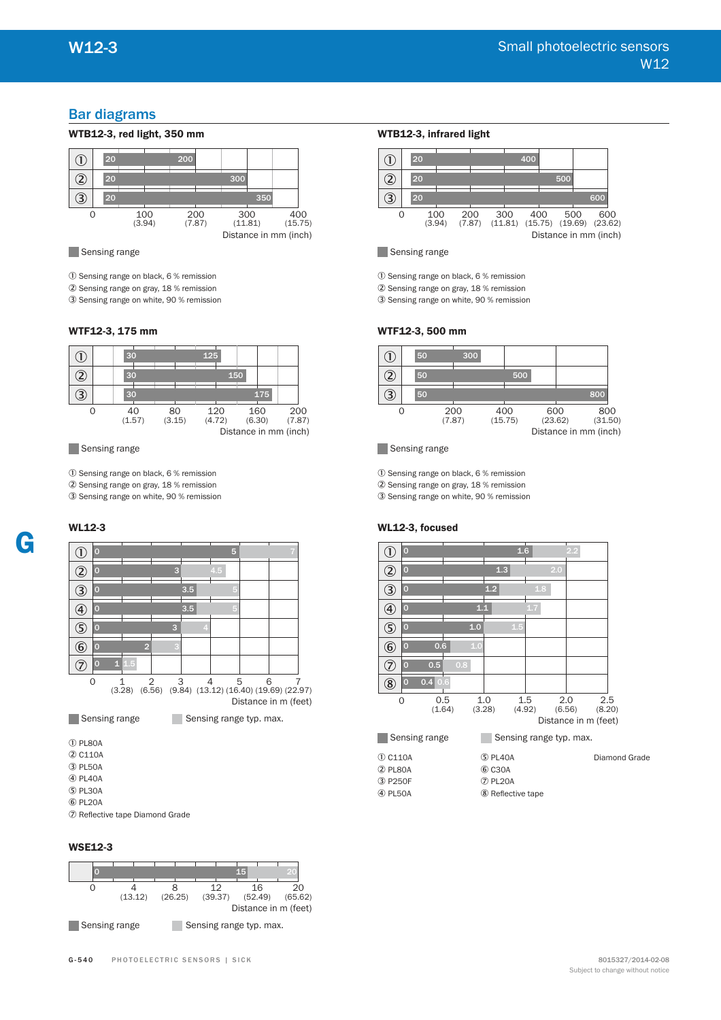# Bar diagrams



Sensing range

1 Sensing range on black, 6 % remission

2 Sensing range on gray, 18 % remission

3 Sensing range on white, 90 % remission

#### WTF12-3, 175 mm



Sensing range

1 Sensing range on black, 6 % remission 2 Sensing range on gray, 18 % remission 3 Sensing range on white, 90 % remission

### **WL12-3**



1 PL80A

- 2 C110A 3 PL50A
- 4 PL40A
- 5 PL30A
- 6 PL20A

7 Reflective tape Diamond Grade

#### **WSE12-3**



#### **WTB12-3, infrared light**



Sensing range

1 Sensing range on black, 6 % remission

2 Sensing range on gray, 18 % remission

3 Sensing range on white, 90 % remission

#### WTF12-3, 500 mm



#### Sensing range

1 Sensing range on black, 6 % remission

2 Sensing range on gray, 18 % remission

3 Sensing range on white, 90 % remission

#### WL12-3, focused

| D                                                                                                       | $\overline{0}$            |               |                   | 1.6                     |     | 2.2                                   |               |               |
|---------------------------------------------------------------------------------------------------------|---------------------------|---------------|-------------------|-------------------------|-----|---------------------------------------|---------------|---------------|
| $\mathfrak{D}% _{T}=\mathfrak{D}_{T}\!\left( a,b\right) ,\ \mathfrak{D}_{T}=C_{T}\!\left( a,b\right) ,$ | $\bf{O}$                  |               | 1.3               |                         | 2.0 |                                       |               |               |
| 3                                                                                                       | $\bf{O}$                  |               | 1.2               | 1.8                     |     |                                       |               |               |
| $\circledast$                                                                                           | $\mathbf{O}$              | 1.1           |                   | 1.7                     |     |                                       |               |               |
| <u>S</u>                                                                                                | $\overline{0}$            | 1.0           |                   | 1.5                     |     |                                       |               |               |
| $\circledast$                                                                                           | $\overline{0}$<br>0.6     | 1.0           |                   |                         |     |                                       |               |               |
| 7                                                                                                       | 0.5<br>$\overline{0}$     | 0.8           |                   |                         |     |                                       |               |               |
| $\circledS$                                                                                             | 0.4 0.6<br>$\overline{0}$ |               |                   |                         |     |                                       |               |               |
| $\Omega$                                                                                                |                           | 0.5<br>(1.64) | 1.0<br>(3.28)     | 1.5<br>(4.92)           |     | 2.0<br>(6.56)<br>Distance in m (feet) | 2.5<br>(8.20) |               |
|                                                                                                         | Sensing range             |               |                   | Sensing range typ. max. |     |                                       |               |               |
| $\overline{0}$ C110A                                                                                    |                           |               | $5$ PL40A         |                         |     |                                       |               | Diamond Grade |
| 2 PL80A                                                                                                 |                           |               | <b>6 C30A</b>     |                         |     |                                       |               |               |
| 3 P250F                                                                                                 |                           |               | 2 PL20A           |                         |     |                                       |               |               |
| 4 PL50A                                                                                                 |                           |               | 8 Reflective tape |                         |     |                                       |               |               |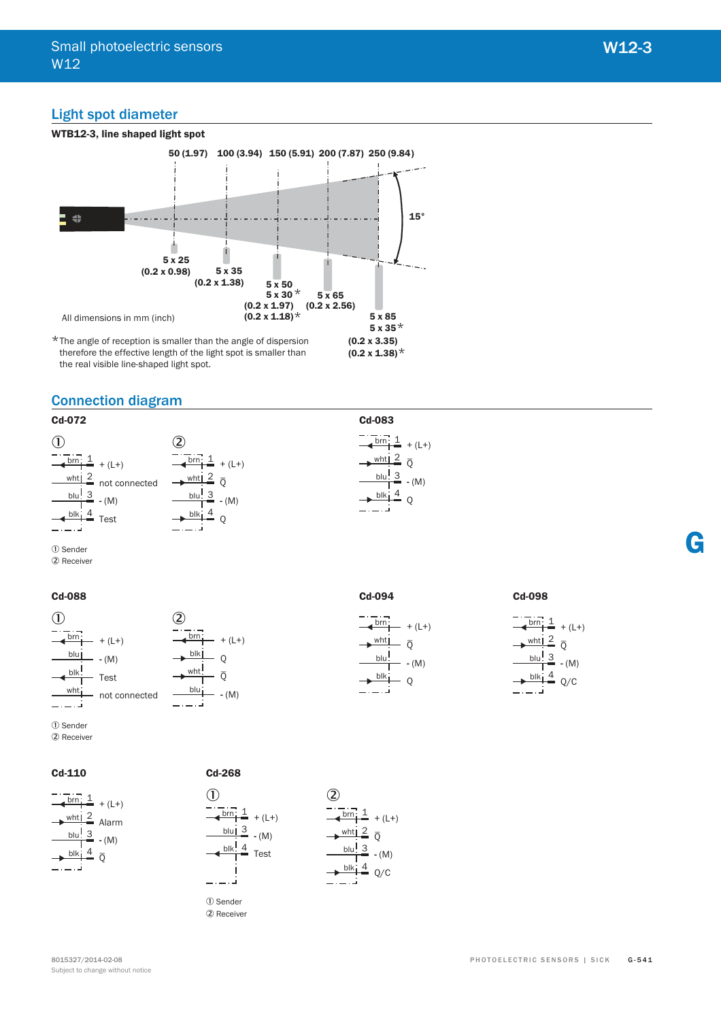# Light spot diameter



# Connection diagram



1 Sender 2 Receiver

#### **Cd-088**



1 Sender 2 Receiver

**Cd-110**



 $\Omega$  $\overline{O}$ wht  $\frac{blu}{1}$  - (M)

brn blk  $+ (L+)$ 



1 Sender 2 Receiver





**Cd-094**

brn: wht | blu!

blk

 $- + (L+)$  $-\bar{0}$ **-** (M)

 $\overline{O}$ 

**Cd-098**

| brn | $+ (L+)$ |
|-----|----------|
|     |          |
| wht |          |
| blu | $- (M)$  |
|     |          |
| blk | 'C       |
|     |          |

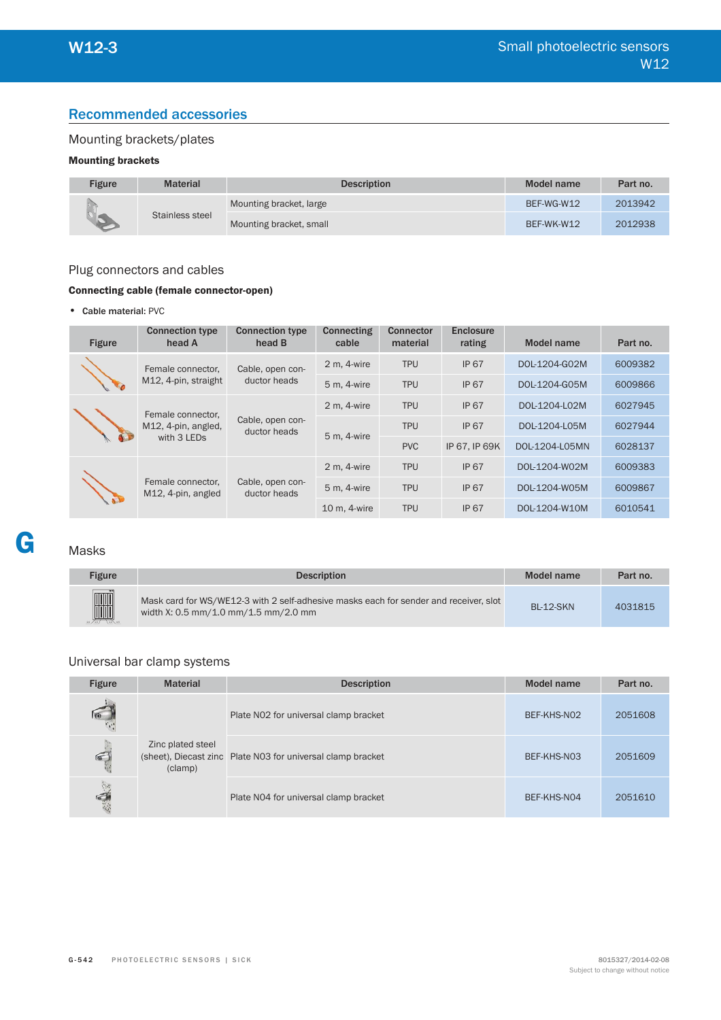# Recommended accessories

# Mounting brackets/plates

# **Mounting brackets**

| Figure | <b>Material</b> | <b>Description</b>      | Model name | Part no. |
|--------|-----------------|-------------------------|------------|----------|
|        | Stainless steel | Mounting bracket, large | BEF-WG-W12 | 2013942  |
|        |                 | Mounting bracket, small | BEF-WK-W12 | 2012938  |

## Plug connectors and cables

## **Connecting cable (female connector-open)**

• Cable material: PVC

| <b>Figure</b> | <b>Connection type</b><br>head A                        | <b>Connection type</b><br>head B | Connecting<br>cable | <b>Connector</b><br>material | Enclosure<br>rating | <b>Model name</b> | Part no. |
|---------------|---------------------------------------------------------|----------------------------------|---------------------|------------------------------|---------------------|-------------------|----------|
|               | Female connector,                                       | Cable, open con-<br>ductor heads | 2 m, 4-wire         | <b>TPU</b>                   | <b>IP 67</b>        | DOL-1204-G02M     | 6009382  |
|               | M12, 4-pin, straight                                    |                                  | 5 m, 4-wire         | <b>TPU</b>                   | <b>IP 67</b>        | DOL-1204-G05M     | 6009866  |
|               | Female connector,<br>M12, 4-pin, angled,<br>with 3 LEDs | Cable, open con-<br>ductor heads | 2 m, 4-wire         | <b>TPU</b>                   | <b>IP 67</b>        | DOL-1204-L02M     | 6027945  |
|               |                                                         |                                  | 5 m, 4-wire         | <b>TPU</b>                   | <b>IP 67</b>        | DOL-1204-L05M     | 6027944  |
|               |                                                         |                                  |                     | <b>PVC</b>                   | IP 67, IP 69K       | DOL-1204-L05MN    | 6028137  |
|               |                                                         | Cable, open con-<br>ductor heads | 2 m, 4-wire         | <b>TPU</b>                   | <b>IP 67</b>        | DOL-1204-W02M     | 6009383  |
|               | Female connector,<br>M12, 4-pin, angled                 |                                  | 5 m, 4-wire         | <b>TPU</b>                   | <b>IP 67</b>        | DOL-1204-W05M     | 6009867  |
|               |                                                         |                                  | 10 m, 4-wire        | <b>TPU</b>                   | <b>IP 67</b>        | DOL-1204-W10M     | 6010541  |

# Masks

**G**

| <b>Figure</b> | <b>Description</b>                                                                                                            | Model name       | Part no. |
|---------------|-------------------------------------------------------------------------------------------------------------------------------|------------------|----------|
| H             | Mask card for WS/WE12-3 with 2 self-adhesive masks each for sender and receiver, slot<br>width X: 0.5 mm/1.0 mm/1.5 mm/2.0 mm | <b>BI-12-SKN</b> | 4031815  |

# Universal bar clamp systems

| <b>Figure</b> | <b>Material</b>              | <b>Description</b>                                          | Model name  | Part no. |
|---------------|------------------------------|-------------------------------------------------------------|-------------|----------|
|               | Zinc plated steel<br>(clamp) | Plate N02 for universal clamp bracket                       | BEF-KHS-NO2 | 2051608  |
| $\bigcirc$    |                              | (sheet), Diecast zinc Plate N03 for universal clamp bracket | BEF-KHS-N03 | 2051609  |
| ing.          |                              | Plate N04 for universal clamp bracket                       | BEF-KHS-N04 | 2051610  |